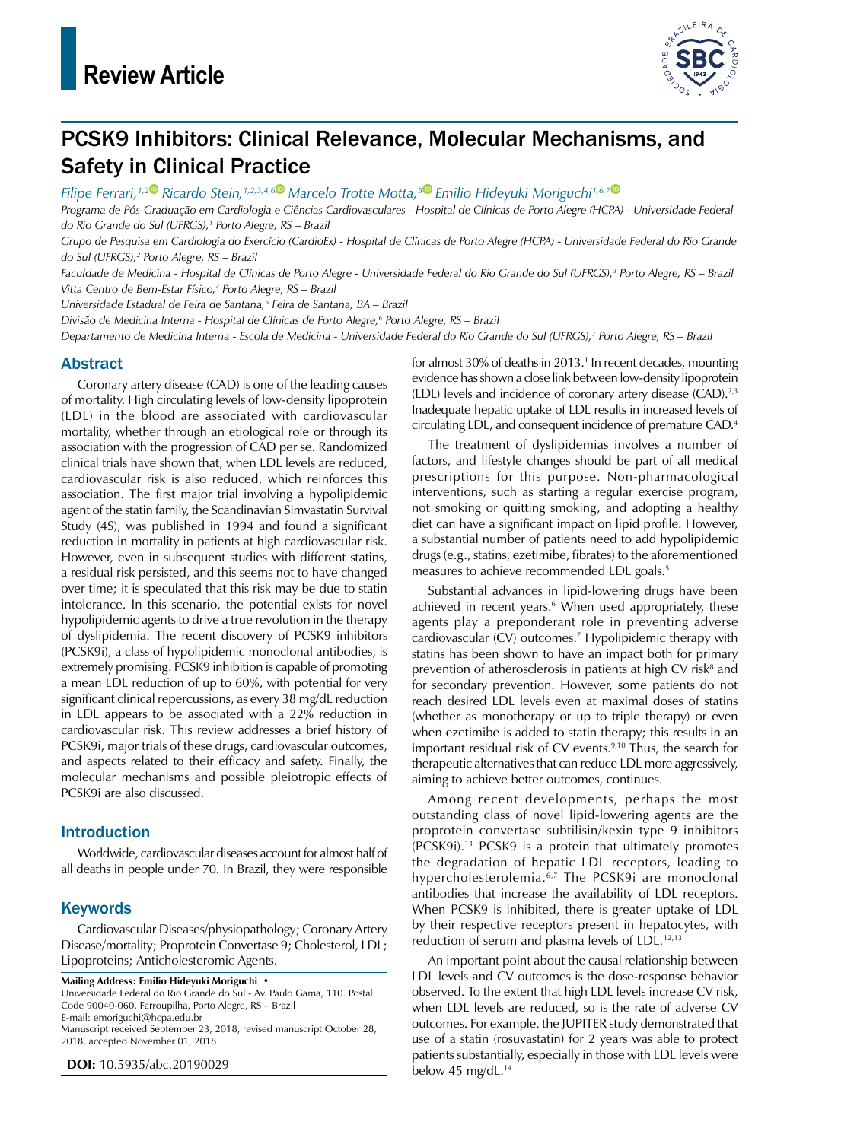

# PCSK9 Inhibitors: Clinical Relevance, Molecular Mechanisms, and Safety in Clinical Practice

*Filipe Ferrari,1,2 Ricardo Stein,1,2,3,4,6 Marcelo Trotte Motta,5 Emilio Hideyuki Moriguchi1,6,7*

*Programa de Pós-Graduação em Cardiologia e Ciências Cardiovasculares - Hospital de Clínicas de Porto Alegre (HCPA) - Universidade Federal do Rio Grande do Sul (UFRGS),1 Porto Alegre, RS – Brazil*

*Grupo de Pesquisa em Cardiologia do Exercício (CardioEx) - Hospital de Clínicas de Porto Alegre (HCPA) - Universidade Federal do Rio Grande do Sul (UFRGS),2 Porto Alegre, RS – Brazil*

*Faculdade de Medicina - Hospital de Clínicas de Porto Alegre - Universidade Federal do Rio Grande do Sul (UFRGS),3 Porto Alegre, RS – Brazil Vitta Centro de Bem-Estar Físico,4 Porto Alegre, RS – Brazil*

*Universidade Estadual de Feira de Santana,5 Feira de Santana, BA – Brazil*

*Divisão de Medicina Interna - Hospital de Clínicas de Porto Alegre,6 Porto Alegre, RS – Brazil*

*Departamento de Medicina Interna - Escola de Medicina - Universidade Federal do Rio Grande do Sul (UFRGS),7 Porto Alegre, RS – Brazil*

# Abstract

Coronary artery disease (CAD) is one of the leading causes of mortality. High circulating levels of low-density lipoprotein (LDL) in the blood are associated with cardiovascular mortality, whether through an etiological role or through its association with the progression of CAD per se. Randomized clinical trials have shown that, when LDL levels are reduced, cardiovascular risk is also reduced, which reinforces this association. The first major trial involving a hypolipidemic agent of the statin family, the Scandinavian Simvastatin Survival Study (4S), was published in 1994 and found a significant reduction in mortality in patients at high cardiovascular risk. However, even in subsequent studies with different statins, a residual risk persisted, and this seems not to have changed over time; it is speculated that this risk may be due to statin intolerance. In this scenario, the potential exists for novel hypolipidemic agents to drive a true revolution in the therapy of dyslipidemia. The recent discovery of PCSK9 inhibitors (PCSK9i), a class of hypolipidemic monoclonal antibodies, is extremely promising. PCSK9 inhibition is capable of promoting a mean LDL reduction of up to 60%, with potential for very significant clinical repercussions, as every 38 mg/dL reduction in LDL appears to be associated with a 22% reduction in cardiovascular risk. This review addresses a brief history of PCSK9i, major trials of these drugs, cardiovascular outcomes, and aspects related to their efficacy and safety. Finally, the molecular mechanisms and possible pleiotropic effects of PCSK9i are also discussed.

### Introduction

Worldwide, cardiovascular diseases account for almost half of all deaths in people under 70. In Brazil, they were responsible

### Keywords

Cardiovascular Diseases/physiopathology; Coronary Artery Disease/mortality; Proprotein Convertase 9; Cholesterol, LDL; Lipoproteins; Anticholesteromic Agents.

**Mailing Address: Emilio Hideyuki Moriguchi •**

Universidade Federal do Rio Grande do Sul - Av. Paulo Gama, 110. Postal Code 90040-060, Farroupilha, Porto Alegre, RS – Brazil E-mail: [emoriguchi@hcpa.edu.br](mailto:emoriguchi@hcpa.edu.br) Manuscript received September 23, 2018, revised manuscript October 28, 2018, accepted November 01, 2018

**DOI:** 10.5935/abc.20190029

for almost 30% of deaths in 2013.<sup>1</sup> In recent decades, mounting evidence has shown a close link between low-density lipoprotein (LDL) levels and incidence of coronary artery disease (CAD).<sup>2,3</sup> Inadequate hepatic uptake of LDL results in increased levels of circulating LDL, and consequent incidence of premature CAD.4

The treatment of dyslipidemias involves a number of factors, and lifestyle changes should be part of all medical prescriptions for this purpose. Non-pharmacological interventions, such as starting a regular exercise program, not smoking or quitting smoking, and adopting a healthy diet can have a significant impact on lipid profile. However, a substantial number of patients need to add hypolipidemic drugs (e.g., statins, ezetimibe, fibrates) to the aforementioned measures to achieve recommended LDL goals.<sup>5</sup>

Substantial advances in lipid-lowering drugs have been achieved in recent years.<sup>6</sup> When used appropriately, these agents play a preponderant role in preventing adverse cardiovascular (CV) outcomes.7 Hypolipidemic therapy with statins has been shown to have an impact both for primary prevention of atherosclerosis in patients at high CV risk<sup>8</sup> and for secondary prevention. However, some patients do not reach desired LDL levels even at maximal doses of statins (whether as monotherapy or up to triple therapy) or even when ezetimibe is added to statin therapy; this results in an important residual risk of CV events. $9,10$  Thus, the search for therapeutic alternatives that can reduce LDL more aggressively, aiming to achieve better outcomes, continues.

Among recent developments, perhaps the most outstanding class of novel lipid-lowering agents are the proprotein convertase subtilisin/kexin type 9 inhibitors (PCSK9i).11 PCSK9 is a protein that ultimately promotes the degradation of hepatic LDL receptors, leading to hypercholesterolemia.<sup>6,7</sup> The PCSK9i are monoclonal antibodies that increase the availability of LDL receptors. When PCSK9 is inhibited, there is greater uptake of LDL by their respective receptors present in hepatocytes, with reduction of serum and plasma levels of LDL.12,13

An important point about the causal relationship between LDL levels and CV outcomes is the dose-response behavior observed. To the extent that high LDL levels increase CV risk, when LDL levels are reduced, so is the rate of adverse CV outcomes. For example, the JUPITER study demonstrated that use of a statin (rosuvastatin) for 2 years was able to protect patients substantially, especially in those with LDL levels were below 45 mg/dL. $14$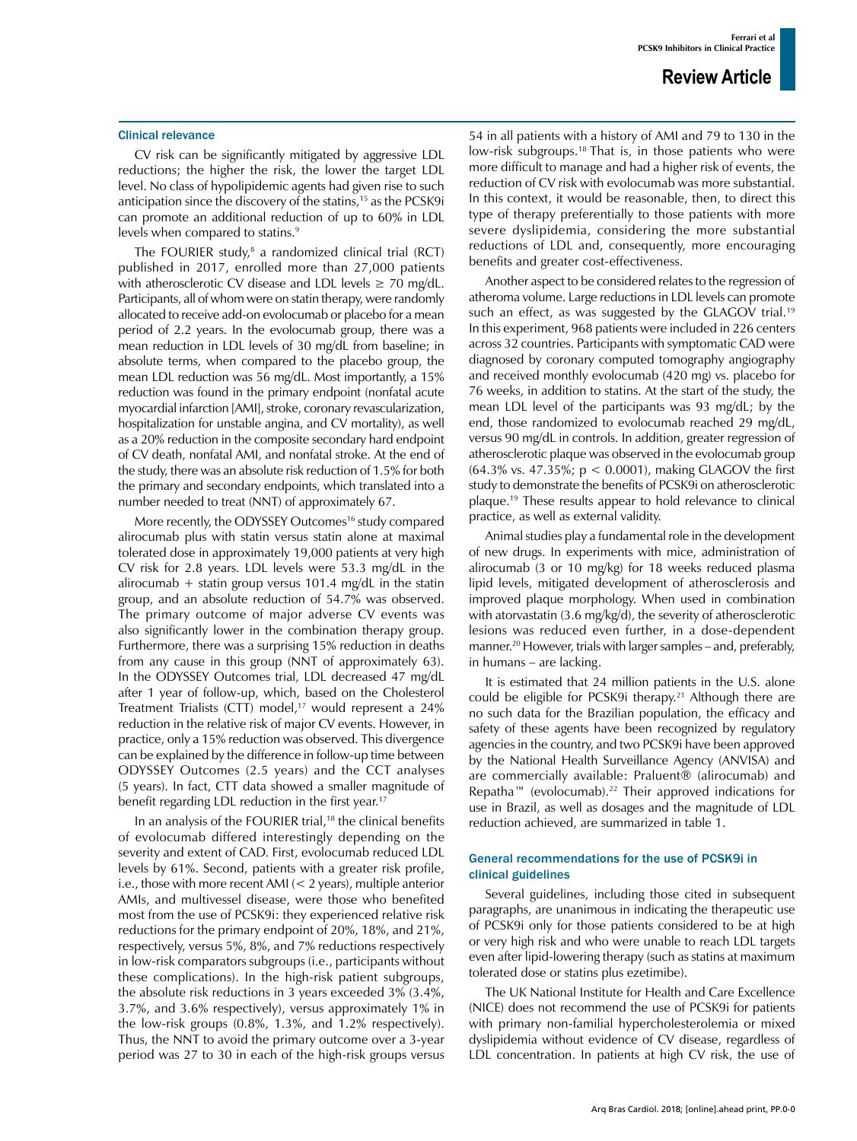#### Clinical relevance

CV risk can be significantly mitigated by aggressive LDL reductions; the higher the risk, the lower the target LDL level. No class of hypolipidemic agents had given rise to such anticipation since the discovery of the statins,<sup>15</sup> as the PCSK9i can promote an additional reduction of up to 60% in LDL levels when compared to statins.<sup>9</sup>

The FOURIER study,<sup>8</sup> a randomized clinical trial (RCT) published in 2017, enrolled more than 27,000 patients with atherosclerotic CV disease and LDL levels  $\geq$  70 mg/dL. Participants, all of whom were on statin therapy, were randomly allocated to receive add-on evolocumab or placebo for a mean period of 2.2 years. In the evolocumab group, there was a mean reduction in LDL levels of 30 mg/dL from baseline; in absolute terms, when compared to the placebo group, the mean LDL reduction was 56 mg/dL. Most importantly, a 15% reduction was found in the primary endpoint (nonfatal acute myocardial infarction [AMI], stroke, coronary revascularization, hospitalization for unstable angina, and CV mortality), as well as a 20% reduction in the composite secondary hard endpoint of CV death, nonfatal AMI, and nonfatal stroke. At the end of the study, there was an absolute risk reduction of 1.5% for both the primary and secondary endpoints, which translated into a number needed to treat (NNT) of approximately 67.

More recently, the ODYSSEY Outcomes<sup>16</sup> study compared alirocumab plus with statin versus statin alone at maximal tolerated dose in approximately 19,000 patients at very high CV risk for 2.8 years. LDL levels were 53.3 mg/dL in the alirocumab + statin group versus 101.4 mg/dL in the statin group, and an absolute reduction of 54.7% was observed. The primary outcome of major adverse CV events was also significantly lower in the combination therapy group. Furthermore, there was a surprising 15% reduction in deaths from any cause in this group (NNT of approximately 63). In the ODYSSEY Outcomes trial, LDL decreased 47 mg/dL after 1 year of follow-up, which, based on the Cholesterol Treatment Trialists (CTT) model,<sup>17</sup> would represent a 24% reduction in the relative risk of major CV events. However, in practice, only a 15% reduction was observed. This divergence can be explained by the difference in follow-up time between ODYSSEY Outcomes (2.5 years) and the CCT analyses (5 years). In fact, CTT data showed a smaller magnitude of benefit regarding LDL reduction in the first year.<sup>17</sup>

In an analysis of the FOURIER trial,<sup>18</sup> the clinical benefits of evolocumab differed interestingly depending on the severity and extent of CAD. First, evolocumab reduced LDL levels by 61%. Second, patients with a greater risk profile, i.e., those with more recent AMI (< 2 years), multiple anterior AMIs, and multivessel disease, were those who benefited most from the use of PCSK9i: they experienced relative risk reductions for the primary endpoint of 20%, 18%, and 21%, respectively, versus 5%, 8%, and 7% reductions respectively in low-risk comparators subgroups (i.e., participants without these complications). In the high-risk patient subgroups, the absolute risk reductions in 3 years exceeded 3% (3.4%, 3.7%, and 3.6% respectively), versus approximately 1% in the low-risk groups (0.8%, 1.3%, and 1.2% respectively). Thus, the NNT to avoid the primary outcome over a 3-year period was 27 to 30 in each of the high-risk groups versus 54 in all patients with a history of AMI and 79 to 130 in the low-risk subgroups.18 That is, in those patients who were more difficult to manage and had a higher risk of events, the reduction of CV risk with evolocumab was more substantial. In this context, it would be reasonable, then, to direct this type of therapy preferentially to those patients with more severe dyslipidemia, considering the more substantial reductions of LDL and, consequently, more encouraging benefits and greater cost-effectiveness.

Another aspect to be considered relates to the regression of atheroma volume. Large reductions in LDL levels can promote such an effect, as was suggested by the GLAGOV trial.<sup>19</sup> In this experiment, 968 patients were included in 226 centers across 32 countries. Participants with symptomatic CAD were diagnosed by coronary computed tomography angiography and received monthly evolocumab (420 mg) vs. placebo for 76 weeks, in addition to statins. At the start of the study, the mean LDL level of the participants was 93 mg/dL; by the end, those randomized to evolocumab reached 29 mg/dL, versus 90 mg/dL in controls. In addition, greater regression of atherosclerotic plaque was observed in the evolocumab group (64.3% vs. 47.35%; p < 0.0001), making GLAGOV the first study to demonstrate the benefits of PCSK9i on atherosclerotic plaque.19 These results appear to hold relevance to clinical practice, as well as external validity.

Animal studies play a fundamental role in the development of new drugs. In experiments with mice, administration of alirocumab (3 or 10 mg/kg) for 18 weeks reduced plasma lipid levels, mitigated development of atherosclerosis and improved plaque morphology. When used in combination with atorvastatin (3.6 mg/kg/d), the severity of atherosclerotic lesions was reduced even further, in a dose-dependent manner.<sup>20</sup> However, trials with larger samples – and, preferably, in humans – are lacking.

It is estimated that 24 million patients in the U.S. alone could be eligible for PCSK9i therapy.<sup>21</sup> Although there are no such data for the Brazilian population, the efficacy and safety of these agents have been recognized by regulatory agencies in the country, and two PCSK9i have been approved by the National Health Surveillance Agency (ANVISA) and are commercially available: Praluent® (alirocumab) and Repatha™ (evolocumab).22 Their approved indications for use in Brazil, as well as dosages and the magnitude of LDL reduction achieved, are summarized in table 1.

### General recommendations for the use of PCSK9i in clinical guidelines

Several guidelines, including those cited in subsequent paragraphs, are unanimous in indicating the therapeutic use of PCSK9i only for those patients considered to be at high or very high risk and who were unable to reach LDL targets even after lipid-lowering therapy (such as statins at maximum tolerated dose or statins plus ezetimibe).

The UK National Institute for Health and Care Excellence (NICE) does not recommend the use of PCSK9i for patients with primary non-familial hypercholesterolemia or mixed dyslipidemia without evidence of CV disease, regardless of LDL concentration. In patients at high CV risk, the use of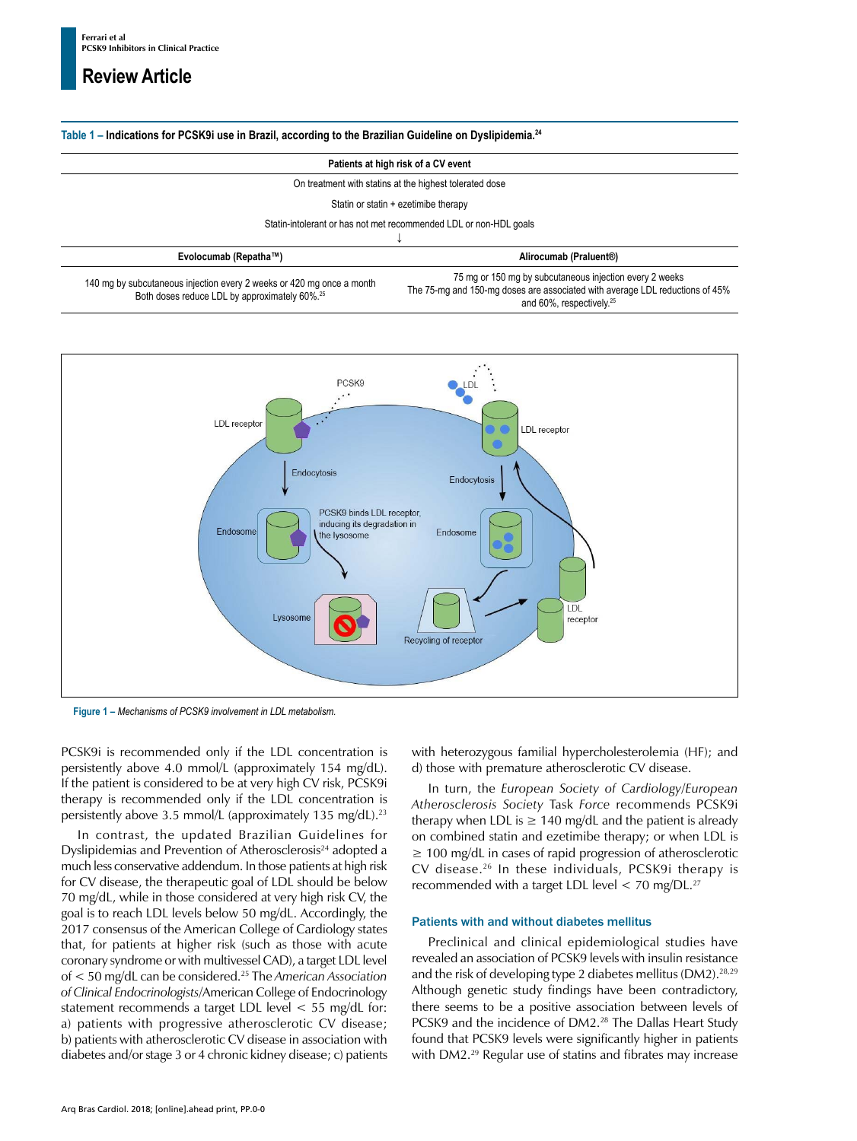# **Review Article**

### **Table 1 – Indications for PCSK9i use in Brazil, according to the Brazilian Guideline on Dyslipidemia.24**

#### **Patients at high risk of a CV event**

On treatment with statins at the highest tolerated dose

Statin or statin + ezetimibe therapy

Statin-intolerant or has not met recommended LDL or non-HDL goals

| Evolocumab (Repatha™)                                                                                                              | Alirocumab (Praluent®)                                                                                                                                                          |
|------------------------------------------------------------------------------------------------------------------------------------|---------------------------------------------------------------------------------------------------------------------------------------------------------------------------------|
| 140 mg by subcutaneous injection every 2 weeks or 420 mg once a month<br>Both doses reduce LDL by approximately 60%. <sup>25</sup> | 75 mg or 150 mg by subcutaneous injection every 2 weeks<br>The 75-mg and 150-mg doses are associated with average LDL reductions of 45%<br>and 60%, respectively. <sup>25</sup> |



**Figure 1 –** *Mechanisms of PCSK9 involvement in LDL metabolism.*

PCSK9i is recommended only if the LDL concentration is persistently above 4.0 mmol/L (approximately 154 mg/dL). If the patient is considered to be at very high CV risk, PCSK9i therapy is recommended only if the LDL concentration is persistently above 3.5 mmol/L (approximately 135 mg/dL).<sup>23</sup>

In contrast, the updated Brazilian Guidelines for Dyslipidemias and Prevention of Atherosclerosis<sup>24</sup> adopted a much less conservative addendum. In those patients at high risk for CV disease, the therapeutic goal of LDL should be below 70 mg/dL, while in those considered at very high risk CV, the goal is to reach LDL levels below 50 mg/dL. Accordingly, the 2017 consensus of the American College of Cardiology states that, for patients at higher risk (such as those with acute coronary syndrome or with multivessel CAD), a target LDL level of < 50 mg/dL can be considered.25 The *American Association of Clinical Endocrinologists*/American College of Endocrinology statement recommends a target LDL level < 55 mg/dL for: a) patients with progressive atherosclerotic CV disease; b) patients with atherosclerotic CV disease in association with diabetes and/or stage 3 or 4 chronic kidney disease; c) patients with heterozygous familial hypercholesterolemia (HF); and d) those with premature atherosclerotic CV disease.

In turn, the *European Society of Cardiology*/*European Atherosclerosis Society* Task *Force* recommends PCSK9i therapy when LDL is  $\geq 140$  mg/dL and the patient is already on combined statin and ezetimibe therapy; or when LDL is ≥ 100 mg/dL in cases of rapid progression of atherosclerotic CV disease.26 In these individuals, PCSK9i therapy is recommended with a target LDL level  $<$  70 mg/DL.<sup>27</sup>

#### Patients with and without diabetes mellitus

Preclinical and clinical epidemiological studies have revealed an association of PCSK9 levels with insulin resistance and the risk of developing type 2 diabetes mellitus (DM2).<sup>28,29</sup> Although genetic study findings have been contradictory, there seems to be a positive association between levels of PCSK9 and the incidence of DM2.<sup>28</sup> The Dallas Heart Study found that PCSK9 levels were significantly higher in patients with DM2.<sup>29</sup> Regular use of statins and fibrates may increase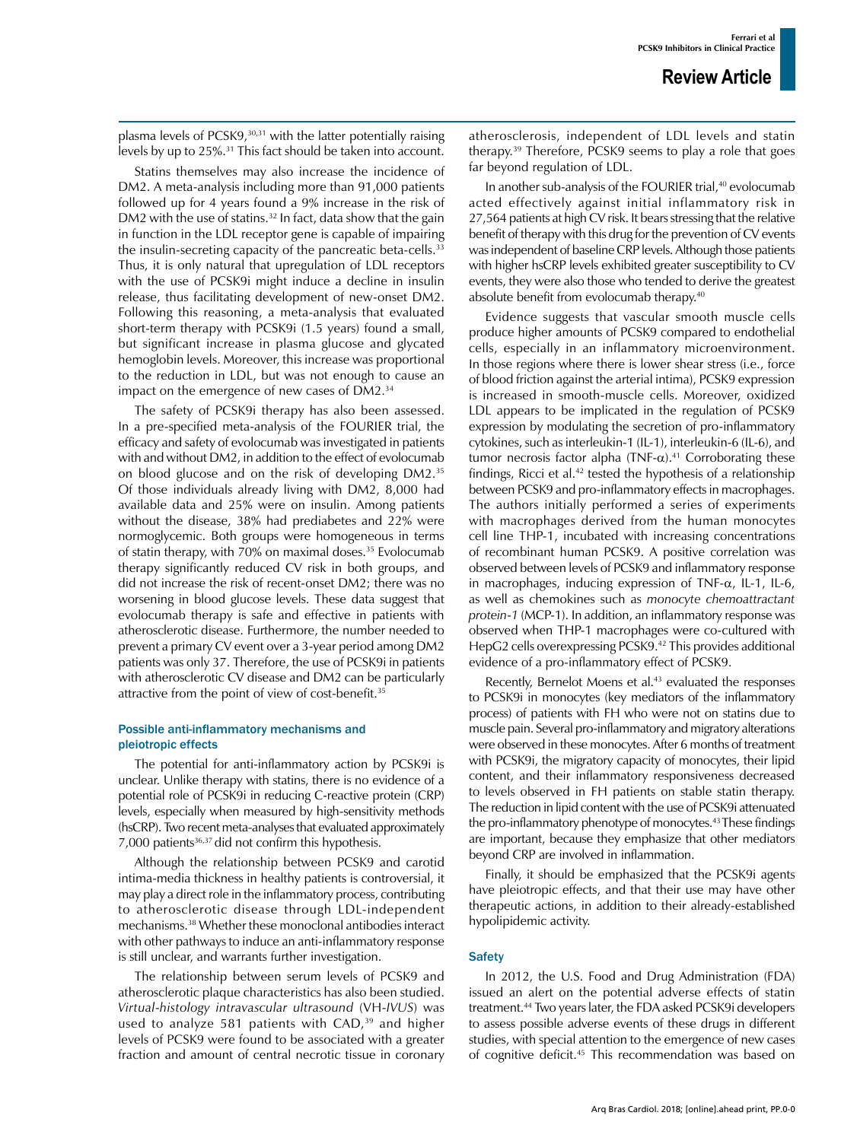plasma levels of PCSK9,<sup>30,31</sup> with the latter potentially raising levels by up to 25%.<sup>31</sup> This fact should be taken into account.

Statins themselves may also increase the incidence of DM2. A meta-analysis including more than 91,000 patients followed up for 4 years found a 9% increase in the risk of DM2 with the use of statins.<sup>32</sup> In fact, data show that the gain in function in the LDL receptor gene is capable of impairing the insulin-secreting capacity of the pancreatic beta-cells.<sup>33</sup> Thus, it is only natural that upregulation of LDL receptors with the use of PCSK9i might induce a decline in insulin release, thus facilitating development of new-onset DM2. Following this reasoning, a meta-analysis that evaluated short-term therapy with PCSK9i (1.5 years) found a small, but significant increase in plasma glucose and glycated hemoglobin levels. Moreover, this increase was proportional to the reduction in LDL, but was not enough to cause an impact on the emergence of new cases of DM2.34

The safety of PCSK9i therapy has also been assessed. In a pre-specified meta-analysis of the FOURIER trial, the efficacy and safety of evolocumab was investigated in patients with and without DM2, in addition to the effect of evolocumab on blood glucose and on the risk of developing DM2.35 Of those individuals already living with DM2, 8,000 had available data and 25% were on insulin. Among patients without the disease, 38% had prediabetes and 22% were normoglycemic. Both groups were homogeneous in terms of statin therapy, with 70% on maximal doses.<sup>35</sup> Evolocumab therapy significantly reduced CV risk in both groups, and did not increase the risk of recent-onset DM2; there was no worsening in blood glucose levels. These data suggest that evolocumab therapy is safe and effective in patients with atherosclerotic disease. Furthermore, the number needed to prevent a primary CV event over a 3-year period among DM2 patients was only 37. Therefore, the use of PCSK9i in patients with atherosclerotic CV disease and DM2 can be particularly attractive from the point of view of cost-benefit.<sup>35</sup>

### Possible anti-inflammatory mechanisms and pleiotropic effects

The potential for anti-inflammatory action by PCSK9i is unclear. Unlike therapy with statins, there is no evidence of a potential role of PCSK9i in reducing C-reactive protein (CRP) levels, especially when measured by high-sensitivity methods (hsCRP). Two recent meta-analyses that evaluated approximately 7,000 patients<sup>36,37</sup> did not confirm this hypothesis.

Although the relationship between PCSK9 and carotid intima-media thickness in healthy patients is controversial, it may play a direct role in the inflammatory process, contributing to atherosclerotic disease through LDL-independent mechanisms.38 Whether these monoclonal antibodies interact with other pathways to induce an anti-inflammatory response is still unclear, and warrants further investigation.

The relationship between serum levels of PCSK9 and atherosclerotic plaque characteristics has also been studied. *Virtual*-*histology intravascular ultrasound* (VH-*IVUS*) was used to analyze 581 patients with CAD,<sup>39</sup> and higher levels of PCSK9 were found to be associated with a greater fraction and amount of central necrotic tissue in coronary atherosclerosis, independent of LDL levels and statin therapy.39 Therefore, PCSK9 seems to play a role that goes far beyond regulation of LDL.

In another sub-analysis of the FOURIER trial,<sup>40</sup> evolocumab acted effectively against initial inflammatory risk in 27,564 patients at high CV risk. It bears stressing that the relative benefit of therapy with this drug for the prevention of CV events was independent of baseline CRP levels. Although those patients with higher hsCRP levels exhibited greater susceptibility to CV events, they were also those who tended to derive the greatest absolute benefit from evolocumab therapy.<sup>40</sup>

Evidence suggests that vascular smooth muscle cells produce higher amounts of PCSK9 compared to endothelial cells, especially in an inflammatory microenvironment. In those regions where there is lower shear stress (i.e., force of blood friction against the arterial intima), PCSK9 expression is increased in smooth-muscle cells. Moreover, oxidized LDL appears to be implicated in the regulation of PCSK9 expression by modulating the secretion of pro-inflammatory cytokines, such as interleukin-1 (IL-1), interleukin-6 (IL-6), and tumor necrosis factor alpha (TNF-α).<sup>41</sup> Corroborating these findings, Ricci et al. $42$  tested the hypothesis of a relationship between PCSK9 and pro-inflammatory effects in macrophages. The authors initially performed a series of experiments with macrophages derived from the human monocytes cell line THP-1, incubated with increasing concentrations of recombinant human PCSK9. A positive correlation was observed between levels of PCSK9 and inflammatory response in macrophages, inducing expression of TNF- $\alpha$ , IL-1, IL-6, as well as chemokines such as *monocyte chemoattractant protein*-*1* (MCP-1). In addition, an inflammatory response was observed when THP-1 macrophages were co-cultured with HepG2 cells overexpressing PCSK9.42 This provides additional evidence of a pro-inflammatory effect of PCSK9.

Recently, Bernelot Moens et al.<sup>43</sup> evaluated the responses to PCSK9i in monocytes (key mediators of the inflammatory process) of patients with FH who were not on statins due to muscle pain. Several pro-inflammatory and migratory alterations were observed in these monocytes. After 6 months of treatment with PCSK9i, the migratory capacity of monocytes, their lipid content, and their inflammatory responsiveness decreased to levels observed in FH patients on stable statin therapy. The reduction in lipid content with the use of PCSK9i attenuated the pro-inflammatory phenotype of monocytes.<sup>43</sup> These findings are important, because they emphasize that other mediators beyond CRP are involved in inflammation.

Finally, it should be emphasized that the PCSK9i agents have pleiotropic effects, and that their use may have other therapeutic actions, in addition to their already-established hypolipidemic activity.

### **Safety**

In 2012, the U.S. Food and Drug Administration (FDA) issued an alert on the potential adverse effects of statin treatment.44 Two years later, the FDA asked PCSK9i developers to assess possible adverse events of these drugs in different studies, with special attention to the emergence of new cases of cognitive deficit.45 This recommendation was based on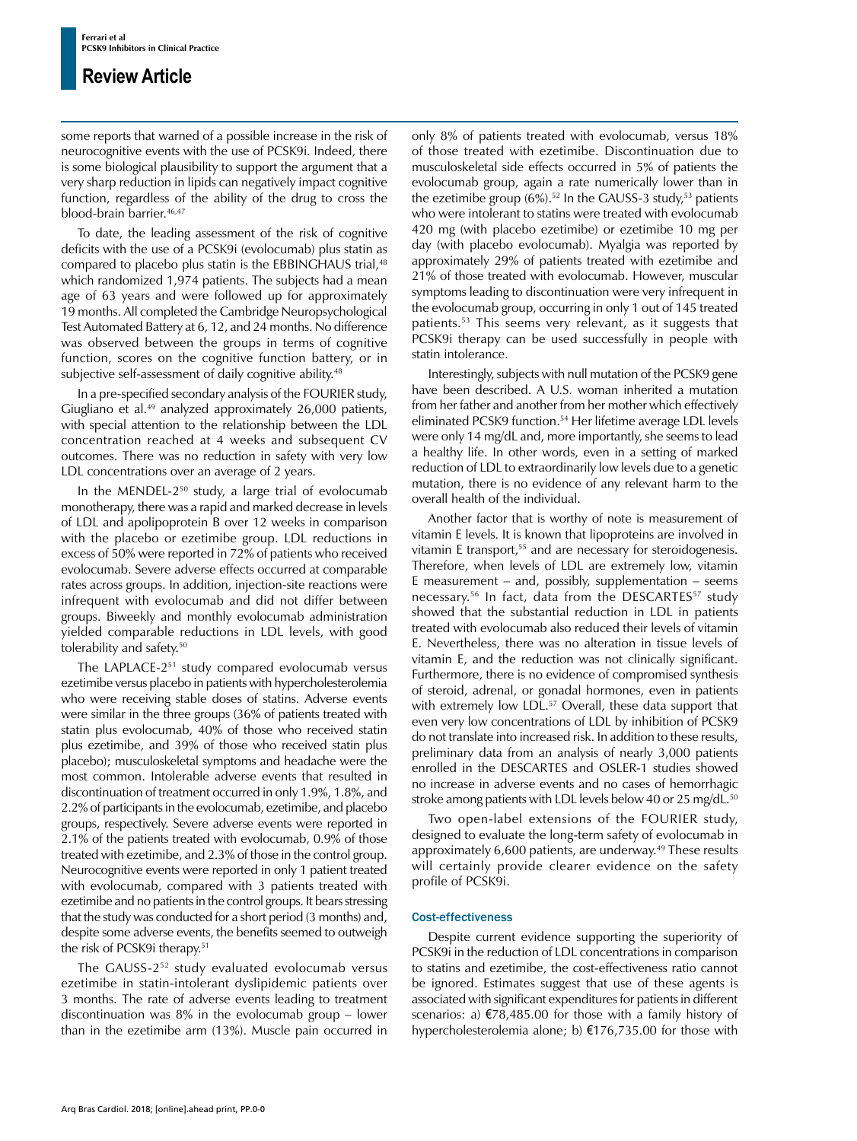# **Review Article**

some reports that warned of a possible increase in the risk of neurocognitive events with the use of PCSK9i. Indeed, there is some biological plausibility to support the argument that a very sharp reduction in lipids can negatively impact cognitive function, regardless of the ability of the drug to cross the blood-brain barrier.<sup>46,47</sup>

To date, the leading assessment of the risk of cognitive deficits with the use of a PCSK9i (evolocumab) plus statin as compared to placebo plus statin is the EBBINGHAUS trial,<sup>48</sup> which randomized 1,974 patients. The subjects had a mean age of 63 years and were followed up for approximately 19 months. All completed the Cambridge Neuropsychological Test Automated Battery at 6, 12, and 24 months. No difference was observed between the groups in terms of cognitive function, scores on the cognitive function battery, or in subjective self-assessment of daily cognitive ability.<sup>48</sup>

In a pre-specified secondary analysis of the FOURIER study, Giugliano et al.49 analyzed approximately 26,000 patients, with special attention to the relationship between the LDL concentration reached at 4 weeks and subsequent CV outcomes. There was no reduction in safety with very low LDL concentrations over an average of 2 years.

In the MENDEL-2<sup>50</sup> study, a large trial of evolocumab monotherapy, there was a rapid and marked decrease in levels of LDL and apolipoprotein B over 12 weeks in comparison with the placebo or ezetimibe group. LDL reductions in excess of 50% were reported in 72% of patients who received evolocumab. Severe adverse effects occurred at comparable rates across groups. In addition, injection-site reactions were infrequent with evolocumab and did not differ between groups. Biweekly and monthly evolocumab administration yielded comparable reductions in LDL levels, with good tolerability and safety.<sup>50</sup>

The LAPLACE-2<sup>51</sup> study compared evolocumab versus ezetimibe versus placebo in patients with hypercholesterolemia who were receiving stable doses of statins. Adverse events were similar in the three groups (36% of patients treated with statin plus evolocumab, 40% of those who received statin plus ezetimibe, and 39% of those who received statin plus placebo); musculoskeletal symptoms and headache were the most common. Intolerable adverse events that resulted in discontinuation of treatment occurred in only 1.9%, 1.8%, and 2.2% of participants in the evolocumab, ezetimibe, and placebo groups, respectively. Severe adverse events were reported in 2.1% of the patients treated with evolocumab, 0.9% of those treated with ezetimibe, and 2.3% of those in the control group. Neurocognitive events were reported in only 1 patient treated with evolocumab, compared with 3 patients treated with ezetimibe and no patients in the control groups. It bears stressing that the study was conducted for a short period (3 months) and, despite some adverse events, the benefits seemed to outweigh the risk of PCSK9i therapy.51

The GAUSS-2<sup>52</sup> study evaluated evolocumab versus ezetimibe in statin-intolerant dyslipidemic patients over 3 months. The rate of adverse events leading to treatment discontinuation was 8% in the evolocumab group – lower than in the ezetimibe arm (13%). Muscle pain occurred in only 8% of patients treated with evolocumab, versus 18% of those treated with ezetimibe. Discontinuation due to musculoskeletal side effects occurred in 5% of patients the evolocumab group, again a rate numerically lower than in the ezetimibe group  $(6\%)$ .<sup>52</sup> In the GAUSS-3 study,<sup>53</sup> patients who were intolerant to statins were treated with evolocumab 420 mg (with placebo ezetimibe) or ezetimibe 10 mg per day (with placebo evolocumab). Myalgia was reported by approximately 29% of patients treated with ezetimibe and 21% of those treated with evolocumab. However, muscular symptoms leading to discontinuation were very infrequent in the evolocumab group, occurring in only 1 out of 145 treated patients.53 This seems very relevant, as it suggests that PCSK9i therapy can be used successfully in people with statin intolerance.

Interestingly, subjects with null mutation of the PCSK9 gene have been described. A U.S. woman inherited a mutation from her father and another from her mother which effectively eliminated PCSK9 function.<sup>54</sup> Her lifetime average LDL levels were only 14 mg/dL and, more importantly, she seems to lead a healthy life. In other words, even in a setting of marked reduction of LDL to extraordinarily low levels due to a genetic mutation, there is no evidence of any relevant harm to the overall health of the individual.

Another factor that is worthy of note is measurement of vitamin E levels. It is known that lipoproteins are involved in vitamin E transport,<sup>55</sup> and are necessary for steroidogenesis. Therefore, when levels of LDL are extremely low, vitamin E measurement – and, possibly, supplementation – seems necessary.<sup>56</sup> In fact, data from the DESCARTES<sup>57</sup> study showed that the substantial reduction in LDL in patients treated with evolocumab also reduced their levels of vitamin E. Nevertheless, there was no alteration in tissue levels of vitamin E, and the reduction was not clinically significant. Furthermore, there is no evidence of compromised synthesis of steroid, adrenal, or gonadal hormones, even in patients with extremely low LDL.<sup>57</sup> Overall, these data support that even very low concentrations of LDL by inhibition of PCSK9 do not translate into increased risk. In addition to these results, preliminary data from an analysis of nearly 3,000 patients enrolled in the DESCARTES and OSLER-1 studies showed no increase in adverse events and no cases of hemorrhagic stroke among patients with LDL levels below 40 or 25 mg/dL.<sup>50</sup>

Two open-label extensions of the FOURIER study, designed to evaluate the long-term safety of evolocumab in approximately 6,600 patients, are underway.<sup>49</sup> These results will certainly provide clearer evidence on the safety profile of PCSK9i.

### Cost-effectiveness

Despite current evidence supporting the superiority of PCSK9i in the reduction of LDL concentrations in comparison to statins and ezetimibe, the cost-effectiveness ratio cannot be ignored. Estimates suggest that use of these agents is associated with significant expenditures for patients in different scenarios: a) €78,485.00 for those with a family history of hypercholesterolemia alone; b) €176,735.00 for those with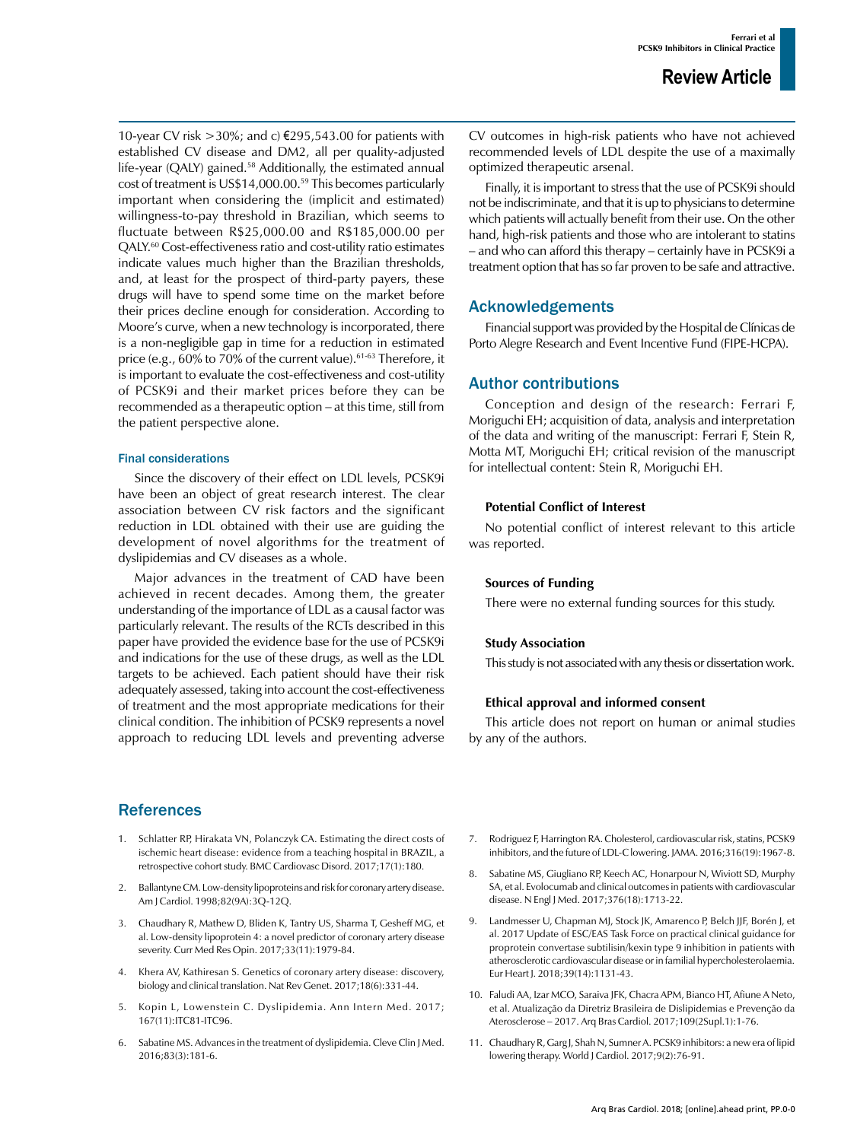10-year CV risk >30%; and c)  $€295,543.00$  for patients with established CV disease and DM2, all per quality-adjusted life-year (QALY) gained.<sup>58</sup> Additionally, the estimated annual cost of treatment is US\$14,000.00.59 This becomes particularly important when considering the (implicit and estimated) willingness-to-pay threshold in Brazilian, which seems to fluctuate between R\$25,000.00 and R\$185,000.00 per QALY.60 Cost-effectiveness ratio and cost-utility ratio estimates indicate values much higher than the Brazilian thresholds, and, at least for the prospect of third-party payers, these drugs will have to spend some time on the market before their prices decline enough for consideration. According to Moore's curve, when a new technology is incorporated, there is a non-negligible gap in time for a reduction in estimated price (e.g., 60% to 70% of the current value).<sup>61-63</sup> Therefore, it is important to evaluate the cost-effectiveness and cost-utility of PCSK9i and their market prices before they can be recommended as a therapeutic option – at this time, still from the patient perspective alone.

### Final considerations

Since the discovery of their effect on LDL levels, PCSK9i have been an object of great research interest. The clear association between CV risk factors and the significant reduction in LDL obtained with their use are guiding the development of novel algorithms for the treatment of dyslipidemias and CV diseases as a whole.

Major advances in the treatment of CAD have been achieved in recent decades. Among them, the greater understanding of the importance of LDL as a causal factor was particularly relevant. The results of the RCTs described in this paper have provided the evidence base for the use of PCSK9i and indications for the use of these drugs, as well as the LDL targets to be achieved. Each patient should have their risk adequately assessed, taking into account the cost-effectiveness of treatment and the most appropriate medications for their clinical condition. The inhibition of PCSK9 represents a novel approach to reducing LDL levels and preventing adverse

# **References**

- 1. [Schlatter RP,](https://www.ncbi.nlm.nih.gov/pubmed/?term=Schlatter RP%5BAuthor%5D&cauthor=true&cauthor_uid=28676042) [Hirakata VN](https://www.ncbi.nlm.nih.gov/pubmed/?term=Hirakata VN%5BAuthor%5D&cauthor=true&cauthor_uid=28676042), Polanczyk CA. Estimating the direct costs of ischemic heart disease: evidence from a teaching hospital in BRAZIL, a retrospective cohort study. [BMC Cardiovasc Disord.](https://www.ncbi.nlm.nih.gov/pubmed/28676042) 2017;17(1):180.
- 2. Ballantyne CM. Low-density lipoproteins and risk for coronary artery disease. [Am J Cardiol.](https://www.ncbi.nlm.nih.gov/pubmed/9819098) 1998;82(9A):3Q-12Q.
- 3. [Chaudhary R,](https://www.ncbi.nlm.nih.gov/pubmed/?term=Chaudhary R%5BAuthor%5D&cauthor=true&cauthor_uid=28787217) [Mathew D,](https://www.ncbi.nlm.nih.gov/pubmed/?term=Mathew D%5BAuthor%5D&cauthor=true&cauthor_uid=28787217) [Bliden K,](https://www.ncbi.nlm.nih.gov/pubmed/?term=Bliden K%5BAuthor%5D&cauthor=true&cauthor_uid=28787217) [Tantry US](https://www.ncbi.nlm.nih.gov/pubmed/?term=Tantry US%5BAuthor%5D&cauthor=true&cauthor_uid=28787217), Sharma T, Gesheff MG, et al. Low-density lipoprotein 4: a novel predictor of coronary artery disease severity. [Curr Med Res Opin.](https://www.ncbi.nlm.nih.gov/pubmed/28787217) 2017;33(11):1979-84.
- 4. [Khera AV,](https://www.ncbi.nlm.nih.gov/pubmed/?term=Khera AV%5BAuthor%5D&cauthor=true&cauthor_uid=28286336) Kathiresan S. Genetics of coronary artery disease: discovery, biology and clinical translation. [Nat Rev Genet.](https://www.ncbi.nlm.nih.gov/pubmed/28286336) 2017;18(6):331-44.
- 5. Kopin L, Lowenstein C. Dyslipidemia. Ann Intern Med. 2017; 167(11):ITC81-ITC96.
- 6. Sabatine MS. Advances in the treatment of dyslipidemia. [Cleve Clin J Med.](https://www.ncbi.nlm.nih.gov/pubmed/26974988) 2016;83(3):181-6.

CV outcomes in high-risk patients who have not achieved recommended levels of LDL despite the use of a maximally optimized therapeutic arsenal.

Finally, it is important to stress that the use of PCSK9i should not be indiscriminate, and that it is up to physicians to determine which patients will actually benefit from their use. On the other hand, high-risk patients and those who are intolerant to statins – and who can afford this therapy – certainly have in PCSK9i a treatment option that has so far proven to be safe and attractive.

# Acknowledgements

Financial support was provided by the Hospital de Clínicas de Porto Alegre Research and Event Incentive Fund (FIPE-HCPA).

# Author contributions

Conception and design of the research: Ferrari F, Moriguchi EH; acquisition of data, analysis and interpretation of the data and writing of the manuscript: Ferrari F, Stein R, Motta MT, Moriguchi EH; critical revision of the manuscript for intellectual content: Stein R, Moriguchi EH.

### **Potential Conflict of Interest**

No potential conflict of interest relevant to this article was reported.

### **Sources of Funding**

There were no external funding sources for this study.

### **Study Association**

This study is not associated with any thesis or dissertation work.

### **Ethical approval and informed consent**

This article does not report on human or animal studies by any of the authors.

- 7. [Rodriguez F](https://www.ncbi.nlm.nih.gov/pubmed/?term=Rodriguez F%5BAuthor%5D&cauthor=true&cauthor_uid=27838727), [Harrington RA](https://www.ncbi.nlm.nih.gov/pubmed/?term=Harrington RA%5BAuthor%5D&cauthor=true&cauthor_uid=27838727). Cholesterol, cardiovascular risk, statins, PCSK9 inhibitors, and the future of LDL-C lowering. [JAMA.](https://www.ncbi.nlm.nih.gov/pubmed/27838727) 2016;316(19):1967-8.
- 8. [Sabatine MS, Giugliano RP, Keech AC, Honarpour N, Wiviott SD, Murphy](https://clinicaltrials.gov/ct2/bye/rQoPWwoRrXS9-i-wudNgpQDxudhWudNzlXNiZip9Ei7ym67VZR0JFR4VSR0VA6h9Ei4L3BUgWwNG0it.)  [SA, et al. Evolocumab and clinical outcomes in patients with cardiovascular](https://clinicaltrials.gov/ct2/bye/rQoPWwoRrXS9-i-wudNgpQDxudhWudNzlXNiZip9Ei7ym67VZR0JFR4VSR0VA6h9Ei4L3BUgWwNG0it.)  [disease. N Engl J Med. 2017;376\(18\):1713-22.](https://clinicaltrials.gov/ct2/bye/rQoPWwoRrXS9-i-wudNgpQDxudhWudNzlXNiZip9Ei7ym67VZR0JFR4VSR0VA6h9Ei4L3BUgWwNG0it.)
- 9. [Landmesser U](https://www.ncbi.nlm.nih.gov/pubmed/?term=Landmesser U%5BAuthor%5D&cauthor=true&cauthor_uid=29045644), [Chapman MJ](https://www.ncbi.nlm.nih.gov/pubmed/?term=Chapman MJ%5BAuthor%5D&cauthor=true&cauthor_uid=29045644), [Stock JK,](https://www.ncbi.nlm.nih.gov/pubmed/?term=Stock JK%5BAuthor%5D&cauthor=true&cauthor_uid=29045644) [Amarenco P](https://www.ncbi.nlm.nih.gov/pubmed/?term=Amarenco P%5BAuthor%5D&cauthor=true&cauthor_uid=29045644), [Belch JJF,](https://www.ncbi.nlm.nih.gov/pubmed/?term=Belch JJF%5BAuthor%5D&cauthor=true&cauthor_uid=29045644) [Borén J,](https://www.ncbi.nlm.nih.gov/pubmed/?term=Bor%C3%A9n J%5BAuthor%5D&cauthor=true&cauthor_uid=29045644) et al. 2017 Update of ESC/EAS Task Force on practical clinical guidance for proprotein convertase subtilisin/kexin type 9 inhibition in patients with atherosclerotic cardiovascular disease or in familial hypercholesterolaemia. Eur Heart J. 2018;39(14):1131-43.
- 10. Faludi AA, Izar MCO, Saraiva JFK, Chacra APM, Bianco HT, Afiune A Neto, et al. Atualização da Diretriz Brasileira de Dislipidemias e Prevenção da Aterosclerose – 2017. Arq Bras Cardiol. 2017;109(2Supl.1):1-76.
- 11. [Chaudhary R](https://www.ncbi.nlm.nih.gov/pubmed/?term=Chaudhary R%5BAuthor%5D&cauthor=true&cauthor_uid=28289523), [Garg J,](https://www.ncbi.nlm.nih.gov/pubmed/?term=Garg J%5BAuthor%5D&cauthor=true&cauthor_uid=28289523) Shah N, Sumner A. PCSK9 inhibitors: a new era of lipid lowering therapy. [World J Cardiol.](https://www.ncbi.nlm.nih.gov/pubmed/28289523) 2017;9(2):76-91.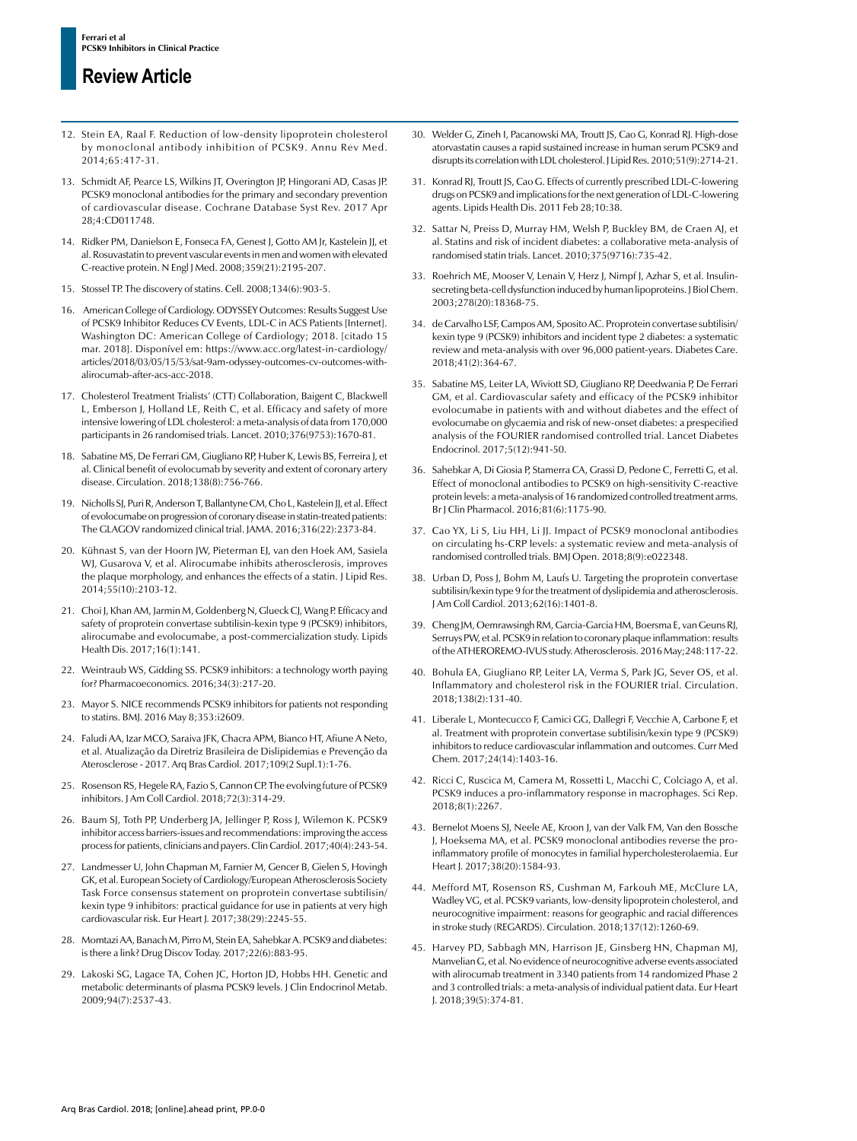# **Review Article**

- 12. [Stein EA,](https://www.ncbi.nlm.nih.gov/pubmed/?term=Stein EA%5BAuthor%5D&cauthor=true&cauthor_uid=24422577) [Raal F.](https://www.ncbi.nlm.nih.gov/pubmed/?term=Raal F%5BAuthor%5D&cauthor=true&cauthor_uid=24422577) Reduction of low-density lipoprotein cholesterol by monoclonal antibody inhibition of PCSK9. [Annu Rev Med.](https://www.ncbi.nlm.nih.gov/pubmed/24422577) 2014;65:417-31.
- 13. [Schmidt AF](https://www.ncbi.nlm.nih.gov/pubmed/?term=Schmidt AF%5BAuthor%5D&cauthor=true&cauthor_uid=28453187), [Pearce LS](https://www.ncbi.nlm.nih.gov/pubmed/?term=Pearce LS%5BAuthor%5D&cauthor=true&cauthor_uid=28453187), [Wilkins JT,](https://www.ncbi.nlm.nih.gov/pubmed/?term=Wilkins JT%5BAuthor%5D&cauthor=true&cauthor_uid=28453187) [Overington JP,](https://www.ncbi.nlm.nih.gov/pubmed/?term=Overington JP%5BAuthor%5D&cauthor=true&cauthor_uid=28453187) [Hingorani AD](https://www.ncbi.nlm.nih.gov/pubmed/?term=Hingorani AD%5BAuthor%5D&cauthor=true&cauthor_uid=28453187), [Casas JP](https://www.ncbi.nlm.nih.gov/pubmed/?term=Casas JP%5BAuthor%5D&cauthor=true&cauthor_uid=28453187). PCSK9 monoclonal antibodies for the primary and secondary prevention of cardiovascular disease. [Cochrane Database Syst Rev.](https://www.ncbi.nlm.nih.gov/pubmed/28453187) 2017 Apr 28;4:CD011748.
- 14. [Ridker PM](https://www.ncbi.nlm.nih.gov/pubmed/?term=Ridker PM%5BAuthor%5D&cauthor=true&cauthor_uid=18997196), [Danielson E](https://www.ncbi.nlm.nih.gov/pubmed/?term=Danielson E%5BAuthor%5D&cauthor=true&cauthor_uid=18997196), [Fonseca FA](https://www.ncbi.nlm.nih.gov/pubmed/?term=Fonseca FA%5BAuthor%5D&cauthor=true&cauthor_uid=18997196), [Genest J](https://www.ncbi.nlm.nih.gov/pubmed/?term=Genest J%5BAuthor%5D&cauthor=true&cauthor_uid=18997196), [Gotto AM Jr,](https://www.ncbi.nlm.nih.gov/pubmed/?term=Gotto AM Jr%5BAuthor%5D&cauthor=true&cauthor_uid=18997196) [Kastelein JJ](https://www.ncbi.nlm.nih.gov/pubmed/?term=Kastelein JJ%5BAuthor%5D&cauthor=true&cauthor_uid=18997196), et al. Rosuvastatin to prevent vascular events in men and women with elevated C-reactive protein. [N Engl J Med.](https://www.ncbi.nlm.nih.gov/pubmed/18997196) 2008;359(21):2195-207.
- 15. [Stossel TP.](https://www.ncbi.nlm.nih.gov/pubmed/?term=Stossel TP%5BAuthor%5D&cauthor=true&cauthor_uid=18805080) The discovery of statins. Cell. 2008;134(6):903-5.
- 16. American College of Cardiology. ODYSSEY Outcomes: Results Suggest Use of PCSK9 Inhibitor Reduces CV Events, LDL-C in ACS Patients [Internet]. Washington DC: American College of Cardiology; 2018. [citado 15 mar. 2018]. Disponível em: https://www.acc.org/latest-in-cardiology/ articles/2018/03/05/15/53/sat-9am-odyssey-outcomes-cv-outcomes-withalirocumab-after-acs-acc-2018.
- 17. Cholesterol Treatment Trialists' (CTT) Collaboration, Baigent C, Blackwell L, Emberson J, Holland LE, Reith C, et al. Efficacy and safety of more intensive lowering of LDL cholesterol: a meta-analysis of data from 170,000 participants in 26 randomised trials. Lancet. 2010;376(9753):1670-81.
- 18. Sabatine MS, De Ferrari GM, Giugliano RP, Huber K, Lewis BS, Ferreira J, et al. Clinical benefit of evolocumab by severity and extent of coronary artery disease. Circulation. 2018;138(8):756-766.
- 19. Nicholls SJ, Puri R, Anderson T, Ballantyne CM, Cho L, Kastelein JJ, et al. Effect of evolocumabe on progression of coronary disease in statin-treated patients: The GLAGOV randomized clinical trial. JAMA. 2016;316(22):2373-84.
- 20. Kühnast S, van der Hoorn JW, Pieterman EJ, van den Hoek AM, Sasiela WJ, Gusarova V, et al. Alirocumabe inhibits atherosclerosis, improves the plaque morphology, and enhances the effects of a statin. J Lipid Res. 2014;55(10):2103-12.
- 21. Choi J, Khan AM, Jarmin M, Goldenberg N, Glueck CJ, Wang P. Efficacy and safety of proprotein convertase subtilisin-kexin type 9 (PCSK9) inhibitors, alirocumabe and evolocumabe, a post-commercialization study. [Lipids](https://www.ncbi.nlm.nih.gov/pmc/articles/PMC5525304/) [Health Dis](https://www.ncbi.nlm.nih.gov/pmc/articles/PMC5525304/). 2017;16(1):141.
- 22. [Weintraub WS,](https://www.ncbi.nlm.nih.gov/pubmed/?term=Weintraub WS%5BAuthor%5D&cauthor=true&cauthor_uid=26689785) [Gidding SS](https://www.ncbi.nlm.nih.gov/pubmed/?term=Gidding SS%5BAuthor%5D&cauthor=true&cauthor_uid=26689785). PCSK9 inhibitors: a technology worth paying for? [Pharmacoeconomics.](https://www.ncbi.nlm.nih.gov/pubmed/26689785) 2016;34(3):217-20.
- 23. Mayor S. NICE recommends PCSK9 inhibitors for patients not responding to statins. BMJ. 2016 May 8;353:i2609.
- 24. Faludi AA, Izar MCO, Saraiva JFK, Chacra APM, Bianco HT, Afiune A Neto, et al. Atualização da Diretriz Brasileira de Dislipidemias e Prevenção da Aterosclerose - 2017. Arq Bras Cardiol. 2017;109(2 Supl.1):1-76.
- 25. Rosenson RS, Hegele RA, Fazio S, Cannon CP. The evolving future of PCSK9 inhibitors. J Am Coll Cardiol. 2018;72(3):314-29.
- 26. Baum SJ, Toth PP, Underberg JA, Jellinger P, Ross J, Wilemon K. PCSK9 inhibitor access barriers-issues and recommendations: improving the access process for patients, clinicians and payers. Clin Cardiol. 2017;40(4):243-54.
- 27. Landmesser U, John Chapman M, Farnier M, Gencer B, Gielen S, Hovingh GK, et al. European Society of Cardiology/European Atherosclerosis Society Task Force consensus statement on proprotein convertase subtilisin/ kexin type 9 inhibitors: practical guidance for use in patients at very high cardiovascular risk. Eur Heart J. 2017;38(29):2245-55.
- 28. [Momtazi AA,](https://www.ncbi.nlm.nih.gov/pubmed/?term=Momtazi AA%5BAuthor%5D&cauthor=true&cauthor_uid=28111330) [Banach M](https://www.ncbi.nlm.nih.gov/pubmed/?term=Banach M%5BAuthor%5D&cauthor=true&cauthor_uid=28111330), [Pirro M,](https://www.ncbi.nlm.nih.gov/pubmed/?term=Pirro M%5BAuthor%5D&cauthor=true&cauthor_uid=28111330) [Stein EA,](https://www.ncbi.nlm.nih.gov/pubmed/?term=Stein EA%5BAuthor%5D&cauthor=true&cauthor_uid=28111330) [Sahebkar A.](https://www.ncbi.nlm.nih.gov/pubmed/?term=Sahebkar A%5BAuthor%5D&cauthor=true&cauthor_uid=28111330) PCSK9 and diabetes: is there a link? [Drug Discov Today.](https://www.ncbi.nlm.nih.gov/pubmed/28111330) 2017;22(6):883-95.
- 29. [Lakoski SG,](https://www.ncbi.nlm.nih.gov/pubmed/?term=Lakoski SG%5BAuthor%5D&cauthor=true&cauthor_uid=19351729) [Lagace TA](https://www.ncbi.nlm.nih.gov/pubmed/?term=Lagace TA%5BAuthor%5D&cauthor=true&cauthor_uid=19351729), [Cohen JC](https://www.ncbi.nlm.nih.gov/pubmed/?term=Cohen JC%5BAuthor%5D&cauthor=true&cauthor_uid=19351729), [Horton JD,](https://www.ncbi.nlm.nih.gov/pubmed/?term=Horton JD%5BAuthor%5D&cauthor=true&cauthor_uid=19351729) [Hobbs HH](https://www.ncbi.nlm.nih.gov/pubmed/?term=Hobbs HH%5BAuthor%5D&cauthor=true&cauthor_uid=19351729). Genetic and metabolic determinants of plasma PCSK9 levels. [J Clin Endocrinol Metab.](https://www.ncbi.nlm.nih.gov/pubmed/19351729) 2009;94(7):2537-43.
- 30. [Welder G](https://www.ncbi.nlm.nih.gov/pubmed/?term=Welder G%5BAuthor%5D&cauthor=true&cauthor_uid=20525997), [Zineh I,](https://www.ncbi.nlm.nih.gov/pubmed/?term=Zineh I%5BAuthor%5D&cauthor=true&cauthor_uid=20525997) [Pacanowski MA](https://www.ncbi.nlm.nih.gov/pubmed/?term=Pacanowski MA%5BAuthor%5D&cauthor=true&cauthor_uid=20525997), [Troutt JS](https://www.ncbi.nlm.nih.gov/pubmed/?term=Troutt JS%5BAuthor%5D&cauthor=true&cauthor_uid=20525997), [Cao G](https://www.ncbi.nlm.nih.gov/pubmed/?term=Cao G%5BAuthor%5D&cauthor=true&cauthor_uid=20525997), [Konrad RJ.](https://www.ncbi.nlm.nih.gov/pubmed/?term=Konrad RJ%5BAuthor%5D&cauthor=true&cauthor_uid=20525997) High-dose atorvastatin causes a rapid sustained increase in human serum PCSK9 and disrupts its correlation with LDL cholesterol. [J Lipid Res.](https://www.ncbi.nlm.nih.gov/pubmed/20525997) 2010;51(9):2714-21.
- 31. [Konrad RJ,](https://www.ncbi.nlm.nih.gov/pubmed/?term=Konrad RJ%5BAuthor%5D&cauthor=true&cauthor_uid=21352602) [Troutt JS,](https://www.ncbi.nlm.nih.gov/pubmed/?term=Troutt JS%5BAuthor%5D&cauthor=true&cauthor_uid=21352602) [Cao G](https://www.ncbi.nlm.nih.gov/pubmed/?term=Cao G%5BAuthor%5D&cauthor=true&cauthor_uid=21352602). Effects of currently prescribed LDL-C-lowering drugs on PCSK9 and implications for the next generation of LDL-C-lowering agents. [Lipids Health Dis.](https://www.ncbi.nlm.nih.gov/pubmed/21352602) 2011 Feb 28;10:38.
- 32. Sattar N, Preiss D, Murray HM, Welsh P, Buckley BM, de Craen AJ, et al. Statins and risk of incident diabetes: a collaborative meta-analysis of randomised statin trials. Lancet. 2010;375(9716):735-42.
- 33. [Roehrich ME,](https://www.ncbi.nlm.nih.gov/pubmed/?term=Roehrich ME%5BAuthor%5D&cauthor=true&cauthor_uid=12594227) [Mooser V,](https://www.ncbi.nlm.nih.gov/pubmed/?term=Mooser V%5BAuthor%5D&cauthor=true&cauthor_uid=12594227) [Lenain V](https://www.ncbi.nlm.nih.gov/pubmed/?term=Lenain V%5BAuthor%5D&cauthor=true&cauthor_uid=12594227), [Herz J,](https://www.ncbi.nlm.nih.gov/pubmed/?term=Herz J%5BAuthor%5D&cauthor=true&cauthor_uid=12594227) [Nimpf J,](https://www.ncbi.nlm.nih.gov/pubmed/?term=Nimpf J%5BAuthor%5D&cauthor=true&cauthor_uid=12594227) [Azhar S,](https://www.ncbi.nlm.nih.gov/pubmed/?term=Azhar S%5BAuthor%5D&cauthor=true&cauthor_uid=12594227) et al. Insulinsecreting beta-cell dysfunction induced by human lipoproteins. [J Biol Chem.](https://www.ncbi.nlm.nih.gov/pubmed/12594227) 2003;278(20):18368-75.
- 34. [de Carvalho LSF](https://www.ncbi.nlm.nih.gov/pubmed/?term=de Carvalho LSF%5BAuthor%5D&cauthor=true&cauthor_uid=29180351), [Campos AM,](https://www.ncbi.nlm.nih.gov/pubmed/?term=Campos AM%5BAuthor%5D&cauthor=true&cauthor_uid=29180351) [Sposito AC](https://www.ncbi.nlm.nih.gov/pubmed/?term=Sposito AC%5BAuthor%5D&cauthor=true&cauthor_uid=29180351). Proprotein convertase subtilisin/ kexin type 9 (PCSK9) inhibitors and incident type 2 diabetes: a systematic review and meta-analysis with over 96,000 patient-years. [Diabetes Care.](https://www.ncbi.nlm.nih.gov/pubmed/29180351) 2018;41(2):364-67.
- 35. [Sabatine MS,](https://www.ncbi.nlm.nih.gov/pubmed/?term=Sabatine MS%5BAuthor%5D&cauthor=true&cauthor_uid=28927706) [Leiter LA,](https://www.ncbi.nlm.nih.gov/pubmed/?term=Leiter LA%5BAuthor%5D&cauthor=true&cauthor_uid=28927706) [Wiviott SD](https://www.ncbi.nlm.nih.gov/pubmed/?term=Wiviott SD%5BAuthor%5D&cauthor=true&cauthor_uid=28927706), [Giugliano RP,](https://www.ncbi.nlm.nih.gov/pubmed/?term=Giugliano RP%5BAuthor%5D&cauthor=true&cauthor_uid=28927706) [Deedwania P,](https://www.ncbi.nlm.nih.gov/pubmed/?term=Deedwania P%5BAuthor%5D&cauthor=true&cauthor_uid=28927706) [De Ferrari](https://www.ncbi.nlm.nih.gov/pubmed/?term=De Ferrari GM%5BAuthor%5D&cauthor=true&cauthor_uid=28927706) [GM](https://www.ncbi.nlm.nih.gov/pubmed/?term=De Ferrari GM%5BAuthor%5D&cauthor=true&cauthor_uid=28927706), et al. Cardiovascular safety and efficacy of the PCSK9 inhibitor evolocumabe in patients with and without diabetes and the effect of evolocumabe on glycaemia and risk of new-onset diabetes: a prespecified analysis of the FOURIER randomised controlled trial. [Lancet Diabetes](https://www.ncbi.nlm.nih.gov/pubmed/28927706) [Endocrinol.](https://www.ncbi.nlm.nih.gov/pubmed/28927706) 2017;5(12):941-50.
- 36. Sahebkar A, Di Giosia P, Stamerra CA, Grassi D, Pedone C, Ferretti G, et al. Effect of monoclonal antibodies to PCSK9 on high-sensitivity C-reactive protein levels: a meta-analysis of 16 randomized controlled treatment arms. Br J Clin Pharmacol. 2016;81(6):1175-90.
- 37. Cao YX, Li S, Liu HH, Li JJ. Impact of PCSK9 monoclonal antibodies on circulating hs-CRP levels: a systematic review and meta-analysis of randomised controlled trials. BMJ Open. 2018;8(9):e022348.
- 38. Urban D, Poss J, Bohm M, Laufs U. Targeting the proprotein convertase subtilisin/kexin type 9 for the treatment of dyslipidemia and atherosclerosis. J Am Coll Cardiol. 2013;62(16):1401-8.
- 39. [Cheng JM](https://www.ncbi.nlm.nih.gov/pubmed/?term=Cheng JM%5BAuthor%5D&cauthor=true&cauthor_uid=27015246), [Oemrawsingh RM](https://www.ncbi.nlm.nih.gov/pubmed/?term=Oemrawsingh RM%5BAuthor%5D&cauthor=true&cauthor_uid=27015246), [Garcia-Garcia HM,](https://www.ncbi.nlm.nih.gov/pubmed/?term=Garcia-Garcia HM%5BAuthor%5D&cauthor=true&cauthor_uid=27015246) [Boersma E](https://www.ncbi.nlm.nih.gov/pubmed/?term=Boersma E%5BAuthor%5D&cauthor=true&cauthor_uid=27015246), [van Geuns RJ](https://www.ncbi.nlm.nih.gov/pubmed/?term=van Geuns RJ%5BAuthor%5D&cauthor=true&cauthor_uid=27015246), [Serruys PW](https://www.ncbi.nlm.nih.gov/pubmed/?term=Serruys PW%5BAuthor%5D&cauthor=true&cauthor_uid=27015246), et al. PCSK9 in relation to coronary plaque inflammation: results of the ATHEROREMO-IVUS study. [Atherosclerosis.](https://www.ncbi.nlm.nih.gov/pubmed/27015246) 2016 May;248:117-22.
- 40. Bohula EA, Giugliano RP, Leiter LA, Verma S, Park JG, Sever OS, et al. Inflammatory and cholesterol risk in the FOURIER trial. Circulation. 2018;138(2):131-40.
- 41. [Liberale L](https://www.ncbi.nlm.nih.gov/pubmed/?term=Liberale L%5BAuthor%5D&cauthor=true&cauthor_uid=28260498), [Montecucco F](https://www.ncbi.nlm.nih.gov/pubmed/?term=Montecucco F%5BAuthor%5D&cauthor=true&cauthor_uid=28260498), [Camici GG,](https://www.ncbi.nlm.nih.gov/pubmed/?term=Camici GG%5BAuthor%5D&cauthor=true&cauthor_uid=28260498) [Dallegri F,](https://www.ncbi.nlm.nih.gov/pubmed/?term=Dallegri F%5BAuthor%5D&cauthor=true&cauthor_uid=28260498) [Vecchie A](https://www.ncbi.nlm.nih.gov/pubmed/?term=Vecchie A%5BAuthor%5D&cauthor=true&cauthor_uid=28260498), Carbone F, et al. Treatment with proprotein convertase subtilisin/kexin type 9 (PCSK9) inhibitors to reduce cardiovascular inflammation and outcomes. [Curr Med](https://www.ncbi.nlm.nih.gov/pubmed/28260498) [Chem.](https://www.ncbi.nlm.nih.gov/pubmed/28260498) 2017;24(14):1403-16.
- 42. [Ricci C,](https://www.ncbi.nlm.nih.gov/pubmed/?term=Ricci C%5BAuthor%5D&cauthor=true&cauthor_uid=29396513) Ruscica M, [Camera M](https://www.ncbi.nlm.nih.gov/pubmed/?term=Camera M%5BAuthor%5D&cauthor=true&cauthor_uid=29396513), [Rossetti L](https://www.ncbi.nlm.nih.gov/pubmed/?term=Rossetti L%5BAuthor%5D&cauthor=true&cauthor_uid=29396513), [Macchi C,](https://www.ncbi.nlm.nih.gov/pubmed/?term=Macchi C%5BAuthor%5D&cauthor=true&cauthor_uid=29396513) Colciago A, et al. PCSK9 induces a pro-inflammatory response in macrophages. [Sci Rep.](https://www.ncbi.nlm.nih.gov/pubmed/29396513) 2018;8(1):2267.
- 43. [Bernelot Moens SJ,](https://www.ncbi.nlm.nih.gov/pubmed/?term=Bernelot Moens SJ%5BAuthor%5D&cauthor=true&cauthor_uid=28329114) [Neele AE,](https://www.ncbi.nlm.nih.gov/pubmed/?term=Neele AE%5BAuthor%5D&cauthor=true&cauthor_uid=28329114) [Kroon J](https://www.ncbi.nlm.nih.gov/pubmed/?term=Kroon J%5BAuthor%5D&cauthor=true&cauthor_uid=28329114), [van der Valk FM](https://www.ncbi.nlm.nih.gov/pubmed/?term=van der Valk FM%5BAuthor%5D&cauthor=true&cauthor_uid=28329114), [Van den Bossche](https://www.ncbi.nlm.nih.gov/pubmed/?term=Van den Bossche J%5BAuthor%5D&cauthor=true&cauthor_uid=28329114) [J](https://www.ncbi.nlm.nih.gov/pubmed/?term=Van den Bossche J%5BAuthor%5D&cauthor=true&cauthor_uid=28329114), Hoeksema MA, et al. PCSK9 monoclonal antibodies reverse the proinflammatory profile of monocytes in familial hypercholesterolaemia. [Eur](https://www.ncbi.nlm.nih.gov/pubmed/28329114) [Heart J.](https://www.ncbi.nlm.nih.gov/pubmed/28329114) 2017;38(20):1584-93.
- 44. [Mefford MT](https://www.ncbi.nlm.nih.gov/pubmed/?term=Mefford MT%5BAuthor%5D&cauthor=true&cauthor_uid=29146683), [Rosenson RS](https://www.ncbi.nlm.nih.gov/pubmed/?term=Rosenson RS%5BAuthor%5D&cauthor=true&cauthor_uid=29146683), [Cushman M](https://www.ncbi.nlm.nih.gov/pubmed/?term=Cushman M%5BAuthor%5D&cauthor=true&cauthor_uid=29146683), [Farkouh ME,](https://www.ncbi.nlm.nih.gov/pubmed/?term=Farkouh ME%5BAuthor%5D&cauthor=true&cauthor_uid=29146683) [McClure LA](https://www.ncbi.nlm.nih.gov/pubmed/?term=McClure LA%5BAuthor%5D&cauthor=true&cauthor_uid=29146683), [Wadley VG](https://www.ncbi.nlm.nih.gov/pubmed/?term=Wadley VG%5BAuthor%5D&cauthor=true&cauthor_uid=29146683), et al. PCSK9 variants, low-density lipoprotein cholesterol, and neurocognitive impairment: reasons for geographic and racial differences in stroke study (REGARDS). [Circulation.](https://www.ncbi.nlm.nih.gov/pubmed/29146683) 2018;137(12):1260-69.
- 45. [Harvey PD,](https://www.ncbi.nlm.nih.gov/pubmed/?term=Harvey PD%5BAuthor%5D&cauthor=true&cauthor_uid=29186504) [Sabbagh MN,](https://www.ncbi.nlm.nih.gov/pubmed/?term=Sabbagh MN%5BAuthor%5D&cauthor=true&cauthor_uid=29186504) [Harrison JE,](https://www.ncbi.nlm.nih.gov/pubmed/?term=Harrison JE%5BAuthor%5D&cauthor=true&cauthor_uid=29186504) [Ginsberg HN,](https://www.ncbi.nlm.nih.gov/pubmed/?term=Ginsberg HN%5BAuthor%5D&cauthor=true&cauthor_uid=29186504) [Chapman MJ](https://www.ncbi.nlm.nih.gov/pubmed/?term=Chapman MJ%5BAuthor%5D&cauthor=true&cauthor_uid=29186504), [Manvelian G,](https://www.ncbi.nlm.nih.gov/pubmed/?term=Manvelian G%5BAuthor%5D&cauthor=true&cauthor_uid=29186504) et al. No evidence of neurocognitive adverse events associated with alirocumab treatment in 3340 patients from 14 randomized Phase 2 and 3 controlled trials: a meta-analysis of individual patient data. [Eur Heart](https://www.ncbi.nlm.nih.gov/pubmed/29186504) [J.](https://www.ncbi.nlm.nih.gov/pubmed/29186504) 2018;39(5):374-81.